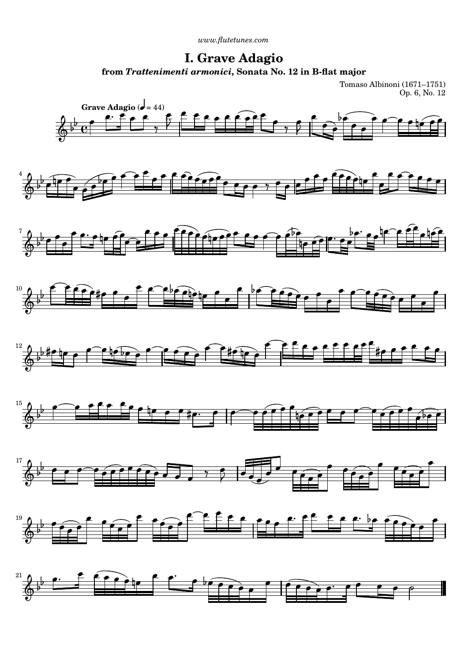*[www.flutetunes.com](http://www.flutetunes.com)* 

## **I. Grave Adagio from** *Trattenimenti armonici***, Sonata No. 12 in B-flat major**

Tomaso Albinoni (1671–1751) Op. 6, No. 12